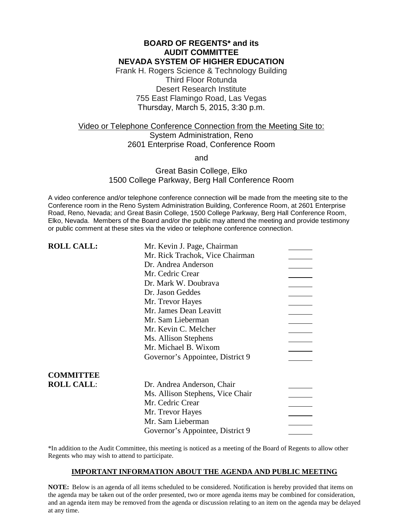## **BOARD OF REGENTS\* and its AUDIT COMMITTEE NEVADA SYSTEM OF HIGHER EDUCATION**

Frank H. Rogers Science & Technology Building Third Floor Rotunda Desert Research Institute 755 East Flamingo Road, Las Vegas Thursday, March 5, 2015, 3:30 p.m.

# Video or Telephone Conference Connection from the Meeting Site to: System Administration, Reno 2601 Enterprise Road, Conference Room

and

# Great Basin College, Elko 1500 College Parkway, Berg Hall Conference Room

A video conference and/or telephone conference connection will be made from the meeting site to the Conference room in the Reno System Administration Building, Conference Room, at 2601 Enterprise Road, Reno, Nevada; and Great Basin College, 1500 College Parkway, Berg Hall Conference Room, Elko, Nevada. Members of the Board and/or the public may attend the meeting and provide testimony or public comment at these sites via the video or telephone conference connection.

| <b>ROLL CALL:</b> | Mr. Kevin J. Page, Chairman      |  |
|-------------------|----------------------------------|--|
|                   | Mr. Rick Trachok, Vice Chairman  |  |
|                   | Dr. Andrea Anderson              |  |
|                   | Mr. Cedric Crear                 |  |
|                   | Dr. Mark W. Doubrava             |  |
|                   | Dr. Jason Geddes                 |  |
|                   | Mr. Trevor Hayes                 |  |
|                   | Mr. James Dean Leavitt           |  |
|                   | Mr. Sam Lieberman                |  |
|                   | Mr. Kevin C. Melcher             |  |
|                   | Ms. Allison Stephens             |  |
|                   | Mr. Michael B. Wixom             |  |
|                   | Governor's Appointee, District 9 |  |
| <b>COMMITTEE</b>  |                                  |  |
| <b>ROLL CALL:</b> | Dr. Andrea Anderson, Chair       |  |
|                   | Ms. Allison Stephens, Vice Chair |  |
|                   | Mr. Cedric Crear                 |  |
|                   | Mr. Trevor Hayes                 |  |
|                   | Mr. Sam Lieberman                |  |
|                   | Governor's Appointee, District 9 |  |

\*In addition to the Audit Committee, this meeting is noticed as a meeting of the Board of Regents to allow other Regents who may wish to attend to participate.

### **IMPORTANT INFORMATION ABOUT THE AGENDA AND PUBLIC MEETING**

**NOTE:** Below is an agenda of all items scheduled to be considered. Notification is hereby provided that items on the agenda may be taken out of the order presented, two or more agenda items may be combined for consideration, and an agenda item may be removed from the agenda or discussion relating to an item on the agenda may be delayed at any time.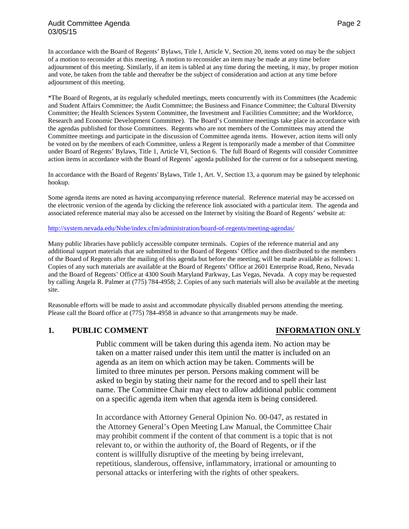In accordance with the Board of Regents' Bylaws, Title I, Article V, Section 20, items voted on may be the subject of a motion to reconsider at this meeting. A motion to reconsider an item may be made at any time before adjournment of this meeting. Similarly, if an item is tabled at any time during the meeting, it may, by proper motion and vote, be taken from the table and thereafter be the subject of consideration and action at any time before adjournment of this meeting.

\*The Board of Regents, at its regularly scheduled meetings, meets concurrently with its Committees (the Academic and Student Affairs Committee; the Audit Committee; the Business and Finance Committee; the Cultural Diversity Committee; the Health Sciences System Committee, the Investment and Facilities Committee; and the Workforce, Research and Economic Development Committee). The Board's Committee meetings take place in accordance with the agendas published for those Committees. Regents who are not members of the Committees may attend the Committee meetings and participate in the discussion of Committee agenda items. However, action items will only be voted on by the members of each Committee, unless a Regent is temporarily made a member of that Committee under Board of Regents' Bylaws, Title 1, Article VI, Section 6. The full Board of Regents will consider Committee action items in accordance with the Board of Regents' agenda published for the current or for a subsequent meeting.

In accordance with the Board of Regents' Bylaws, Title 1, Art. V, Section 13, a quorum may be gained by telephonic hookup.

Some agenda items are noted as having accompanying reference material. Reference material may be accessed on the electronic version of the agenda by clicking the reference link associated with a particular item. The agenda and associated reference material may also be accessed on the Internet by visiting the Board of Regents' website at:

<http://system.nevada.edu/Nshe/index.cfm/administration/board-of-regents/meeting-agendas/>

Many public libraries have publicly accessible computer terminals. Copies of the reference material and any additional support materials that are submitted to the Board of Regents' Office and then distributed to the members of the Board of Regents after the mailing of this agenda but before the meeting, will be made available as follows: 1. Copies of any such materials are available at the Board of Regents' Office at 2601 Enterprise Road, Reno, Nevada and the Board of Regents' Office at 4300 South Maryland Parkway, Las Vegas, Nevada. A copy may be requested by calling Angela R. Palmer at (775) 784-4958; 2. Copies of any such materials will also be available at the meeting site.

Reasonable efforts will be made to assist and accommodate physically disabled persons attending the meeting. Please call the Board office at (775) 784-4958 in advance so that arrangements may be made.

# **1. PUBLIC COMMENT INFORMATION ONLY**

Public comment will be taken during this agenda item. No action may be taken on a matter raised under this item until the matter is included on an agenda as an item on which action may be taken. Comments will be limited to three minutes per person. Persons making comment will be asked to begin by stating their name for the record and to spell their last name. The Committee Chair may elect to allow additional public comment on a specific agenda item when that agenda item is being considered.

In accordance with Attorney General Opinion No. 00-047, as restated in the Attorney General's Open Meeting Law Manual, the Committee Chair may prohibit comment if the content of that comment is a topic that is not relevant to, or within the authority of, the Board of Regents, or if the content is willfully disruptive of the meeting by being irrelevant, repetitious, slanderous, offensive, inflammatory, irrational or amounting to personal attacks or interfering with the rights of other speakers.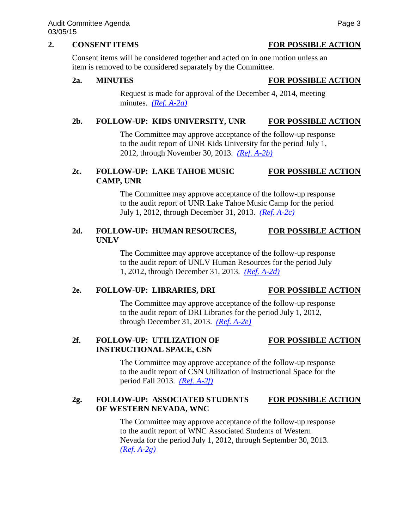### **2. CONSENT ITEMS FOR POSSIBLE ACTION**

Consent items will be considered together and acted on in one motion unless an item is removed to be considered separately by the Committee.

### **2a. MINUTES FOR POSSIBLE ACTION**

Request is made for approval of the December 4, 2014, meeting minutes. *[\(Ref. A-2a\)](http://system.nevada.edu/tasks/sites/Nshe/assets/File/BoardOfRegents/Agendas/2015/mar-mtgs/audit-refs/A-2a.pdf)*

### **2b. FOLLOW-UP: KIDS UNIVERSITY, UNR FOR POSSIBLE ACTION**

The Committee may approve acceptance of the follow-up response to the audit report of UNR Kids University for the period July 1, 2012, through November 30, 2013. *[\(Ref. A-2b\)](http://system.nevada.edu/tasks/sites/Nshe/assets/File/BoardOfRegents/Agendas/2015/mar-mtgs/audit-refs/A-2b.pdf)*

# **2c. FOLLOW-UP: LAKE TAHOE MUSIC FOR POSSIBLE ACTION CAMP, UNR**

The Committee may approve acceptance of the follow-up response to the audit report of UNR Lake Tahoe Music Camp for the period July 1, 2012, through December 31, 2013. *[\(Ref. A-2c\)](http://system.nevada.edu/tasks/sites/Nshe/assets/File/BoardOfRegents/Agendas/2015/mar-mtgs/audit-refs/A-2c.pdf)*

## **2d. FOLLOW-UP: HUMAN RESOURCES, FOR POSSIBLE ACTION UNLV**

The Committee may approve acceptance of the follow-up response to the audit report of UNLV Human Resources for the period July 1, 2012, through December 31, 2013. *[\(Ref. A-2d\)](http://system.nevada.edu/tasks/sites/Nshe/assets/File/BoardOfRegents/Agendas/2015/mar-mtgs/audit-refs/A-2d.pdf)*

### **2e. FOLLOW-UP: LIBRARIES, DRI FOR POSSIBLE ACTION**

The Committee may approve acceptance of the follow-up response to the audit report of DRI Libraries for the period July 1, 2012, through December 31, 2013. *[\(Ref. A-2e\)](http://system.nevada.edu/tasks/sites/Nshe/assets/File/BoardOfRegents/Agendas/2015/mar-mtgs/audit-refs/A-2e.pdf)*

# **2f. FOLLOW-UP: UTILIZATION OF FOR POSSIBLE ACTION INSTRUCTIONAL SPACE, CSN**

The Committee may approve acceptance of the follow-up response to the audit report of CSN Utilization of Instructional Space for the period Fall 2013. *[\(Ref. A-2f\)](http://system.nevada.edu/tasks/sites/Nshe/assets/File/BoardOfRegents/Agendas/2015/mar-mtgs/audit-refs/A-2f.pdf)*

### 2g. FOLLOW-UP: ASSOCIATED STUDENTS FOR POSSIBLE ACTION **OF WESTERN NEVADA, WNC**

The Committee may approve acceptance of the follow-up response to the audit report of WNC Associated Students of Western Nevada for the period July 1, 2012, through September 30, 2013. *[\(Ref. A-2g\)](http://system.nevada.edu/tasks/sites/Nshe/assets/File/BoardOfRegents/Agendas/2015/mar-mtgs/audit-refs/A-2g.pdf)*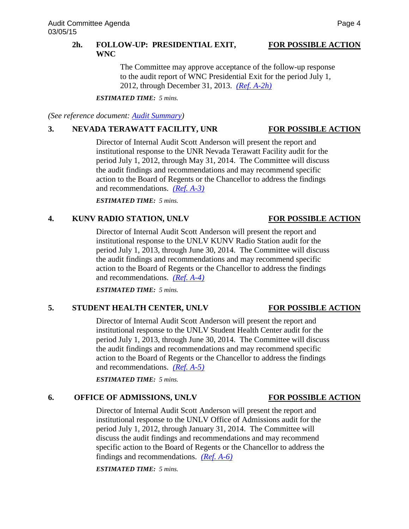### 2h. **FOLLOW-UP: PRESIDENTIAL EXIT, FOR POSSIBLE ACTION WNC**

The Committee may approve acceptance of the follow-up response to the audit report of WNC Presidential Exit for the period July 1, 2012, through December 31, 2013. *[\(Ref. A-2h\)](http://system.nevada.edu/tasks/sites/Nshe/assets/File/BoardOfRegents/Agendas/2015/mar-mtgs/audit-refs/A-2h.pdf)*

*ESTIMATED TIME: 5 mins.*

*(See reference document: [Audit Summary\)](http://system.nevada.edu/tasks/sites/Nshe/assets/File/BoardOfRegents/Agendas/2015/mar-mtgs/audit-refs/Audit%20Summary.pdf)*

## **3. NEVADA TERAWATT FACILITY, UNR FOR POSSIBLE ACTION**

Director of Internal Audit Scott Anderson will present the report and institutional response to the UNR Nevada Terawatt Facility audit for the period July 1, 2012, through May 31, 2014. The Committee will discuss the audit findings and recommendations and may recommend specific action to the Board of Regents or the Chancellor to address the findings and recommendations. *[\(Ref. A-3\)](http://system.nevada.edu/tasks/sites/Nshe/assets/File/BoardOfRegents/Agendas/2015/mar-mtgs/audit-refs/A-3.pdf)*

*ESTIMATED TIME: 5 mins.*

## **4. KUNV RADIO STATION, UNLV FOR POSSIBLE ACTION**

Director of Internal Audit Scott Anderson will present the report and institutional response to the UNLV KUNV Radio Station audit for the period July 1, 2013, through June 30, 2014. The Committee will discuss the audit findings and recommendations and may recommend specific action to the Board of Regents or the Chancellor to address the findings and recommendations. *[\(Ref. A-4\)](http://system.nevada.edu/tasks/sites/Nshe/assets/File/BoardOfRegents/Agendas/2015/mar-mtgs/audit-refs/A-4.pdf)*

*ESTIMATED TIME: 5 mins.*

## **5. STUDENT HEALTH CENTER, UNLV FOR POSSIBLE ACTION**

Director of Internal Audit Scott Anderson will present the report and institutional response to the UNLV Student Health Center audit for the period July 1, 2013, through June 30, 2014. The Committee will discuss the audit findings and recommendations and may recommend specific action to the Board of Regents or the Chancellor to address the findings and recommendations. *[\(Ref. A-5\)](http://system.nevada.edu/tasks/sites/Nshe/assets/File/BoardOfRegents/Agendas/2015/mar-mtgs/audit-refs/A-5.pdf)*

*ESTIMATED TIME: 5 mins.*

# **6. OFFICE OF ADMISSIONS, UNLV FOR POSSIBLE ACTION**

Director of Internal Audit Scott Anderson will present the report and institutional response to the UNLV Office of Admissions audit for the period July 1, 2012, through January 31, 2014. The Committee will discuss the audit findings and recommendations and may recommend specific action to the Board of Regents or the Chancellor to address the findings and recommendations. *[\(Ref. A-6\)](http://system.nevada.edu/tasks/sites/Nshe/assets/File/BoardOfRegents/Agendas/2015/mar-mtgs/audit-refs/A-6.pdf)*

*ESTIMATED TIME: 5 mins.*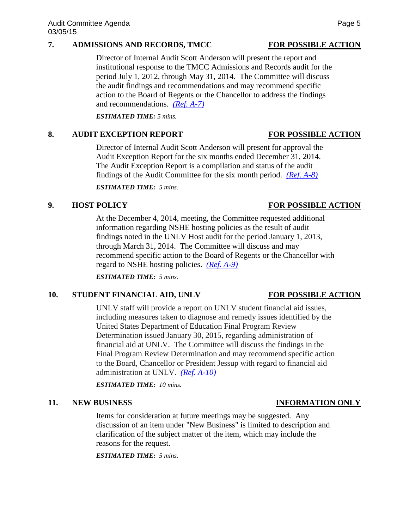### **7. ADMISSIONS AND RECORDS, TMCC FOR POSSIBLE ACTION**

Director of Internal Audit Scott Anderson will present the report and institutional response to the TMCC Admissions and Records audit for the period July 1, 2012, through May 31, 2014. The Committee will discuss the audit findings and recommendations and may recommend specific action to the Board of Regents or the Chancellor to address the findings and recommendations. *[\(Ref. A-7\)](http://system.nevada.edu/tasks/sites/Nshe/assets/File/BoardOfRegents/Agendas/2015/mar-mtgs/audit-refs/A-7.pdf)*

*ESTIMATED TIME: 5 mins.*

### 8. AUDIT EXCEPTION REPORT FOR POSSIBLE ACTION

Director of Internal Audit Scott Anderson will present for approval the Audit Exception Report for the six months ended December 31, 2014. The Audit Exception Report is a compilation and status of the audit findings of the Audit Committee for the six month period. *[\(Ref. A-8\)](http://system.nevada.edu/tasks/sites/Nshe/assets/File/BoardOfRegents/Agendas/2015/mar-mtgs/audit-refs/A-8.pdf)*

*ESTIMATED TIME: 5 mins.* 

### **9. HOST POLICY FOR POSSIBLE ACTION**

At the December 4, 2014, meeting, the Committee requested additional information regarding NSHE hosting policies as the result of audit findings noted in the UNLV Host audit for the period January 1, 2013, through March 31, 2014. The Committee will discuss and may recommend specific action to the Board of Regents or the Chancellor with regard to NSHE hosting policies. *[\(Ref. A-9\)](http://system.nevada.edu/tasks/sites/Nshe/assets/File/BoardOfRegents/Agendas/2015/mar-mtgs/audit-refs/A-9.pdf)*

*ESTIMATED TIME: 5 mins.*

### 10. **STUDENT FINANCIAL AID, UNLV FOR POSSIBLE ACTION**

UNLV staff will provide a report on UNLV student financial aid issues, including measures taken to diagnose and remedy issues identified by the United States Department of Education Final Program Review Determination issued January 30, 2015, regarding administration of financial aid at UNLV. The Committee will discuss the findings in the Final Program Review Determination and may recommend specific action to the Board, Chancellor or President Jessup with regard to financial aid administration at UNLV. *[\(Ref. A-10\)](http://system.nevada.edu/tasks/sites/Nshe/assets/File/BoardOfRegents/Agendas/2015/mar-mtgs/audit-refs/A-10.pdf)*

*ESTIMATED TIME: 10 mins.*

### **11. NEW BUSINESS INFORMATION ONLY**

Items for consideration at future meetings may be suggested. Any discussion of an item under "New Business" is limited to description and clarification of the subject matter of the item, which may include the reasons for the request.

*ESTIMATED TIME: 5 mins.*